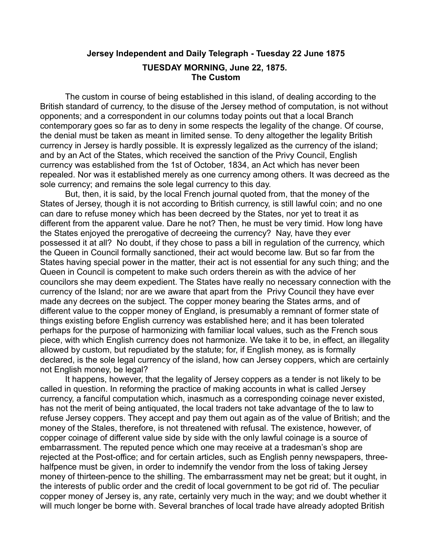## **Jersey Independent and Daily Telegraph - Tuesday 22 June 1875 TUESDAY MORNING, June 22, 1875. The Custom**

The custom in course of being established in this island, of dealing according to the British standard of currency, to the disuse of the Jersey method of computation, is not without opponents; and a correspondent in our columns today points out that a local Branch contemporary goes so far as to deny in some respects the legality of the change. Of course, the denial must be taken as meant in limited sense. To deny altogether the legality British currency in Jersey is hardly possible. It is expressly legalized as the currency of the island; and by an Act of the States, which received the sanction of the Privy Council, English currency was established from the 1st of October, 1834, an Act which has never been repealed. Nor was it established merely as one currency among others. It was decreed as the sole currency; and remains the sole legal currency to this day.

But, then, it is said, by the local French journal quoted from, that the money of the States of Jersey, though it is not according to British currency, is still lawful coin; and no one can dare to refuse money which has been decreed by the States, nor yet to treat it as different from the apparent value. Dare he not? Then, he must be very timid. How long have the States enjoyed the prerogative of decreeing the currency? Nay, have they ever possessed it at all? No doubt, if they chose to pass a bill in regulation of the currency, which the Queen in Council formally sanctioned, their act would become law. But so far from the States having special power in the matter, their act is not essential for any such thing; and the Queen in Council is competent to make such orders therein as with the advice of her councilors she may deem expedient. The States have really no necessary connection with the currency of the Island; nor are we aware that apart from the Privy Council they have ever made any decrees on the subject. The copper money bearing the States arms, and of different value to the copper money of England, is presumably a remnant of former state of things existing before English currency was established here; and it has been tolerated perhaps for the purpose of harmonizing with familiar local values, such as the French sous piece, with which English currency does not harmonize. We take it to be, in effect, an illegality allowed by custom, but repudiated by the statute; for, if English money, as is formally declared, is the sole legal currency of the island, how can Jersey coppers, which are certainly not English money, be legal?

It happens, however, that the legality of Jersey coppers as a tender is not likely to be called in question. In reforming the practice of making accounts in what is called Jersey currency, a fanciful computation which, inasmuch as a corresponding coinage never existed, has not the merit of being antiquated, the local traders not take advantage of the to law to refuse Jersey coppers. They accept and pay them out again as of the value of British; and the money of the Stales, therefore, is not threatened with refusal. The existence, however, of copper coinage of different value side by side with the only lawful coinage is a source of embarrassment. The reputed pence which one may receive at a tradesman's shop are rejected at the Post-office; and for certain articles, such as English penny newspapers, threehalfpence must be given, in order to indemnify the vendor from the loss of taking Jersey money of thirteen-pence to the shilling. The embarrassment may net be great; but it ought, in the interests of public order and the credit of local government to be got rid of. The peculiar copper money of Jersey is, any rate, certainly very much in the way; and we doubt whether it will much longer be borne with. Several branches of local trade have already adopted British